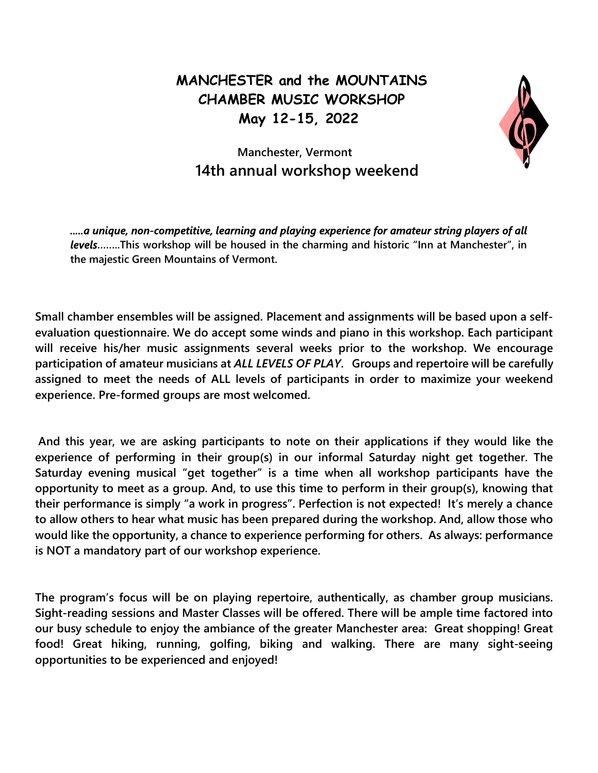## MANCHESTER and the MOUNTAINS CHAMBER MUSIC WORKSHOP May 12-15, 2022



## Manchester, Vermont 14th annual workshop weekend

.....a unique, non-competitive, learning and playing experience for amateur string players of all levels........This workshop will be housed in the charming and historic "Inn at Manchester", in the majestic Green Mountains of Vermont.

Small chamber ensembles will be assigned. Placement and assignments will be based upon a selfevaluation questionnaire. We do accept some winds and piano in this workshop. Each participant will receive his/her music assignments several weeks prior to the workshop. We encourage participation of amateur musicians at ALL LEVELS OF PLAY. Groups and repertoire will be carefully assigned to meet the needs of ALL levels of participants in order to maximize your weekend experience. Pre-formed groups are most welcomed.

 And this year, we are asking participants to note on their applications if they would like the experience of performing in their group(s) in our informal Saturday night get together. The Saturday evening musical "get together" is a time when all workshop participants have the opportunity to meet as a group. And, to use this time to perform in their group(s), knowing that their performance is simply "a work in progress". Perfection is not expected! It's merely a chance to allow others to hear what music has been prepared during the workshop. And, allow those who would like the opportunity, a chance to experience performing for others. As always: performance is NOT a mandatory part of our workshop experience.

The program's focus will be on playing repertoire, authentically, as chamber group musicians. Sight-reading sessions and Master Classes will be offered. There will be ample time factored into our busy schedule to enjoy the ambiance of the greater Manchester area: Great shopping! Great food! Great hiking, running, golfing, biking and walking. There are many sight-seeing opportunities to be experienced and enjoyed!